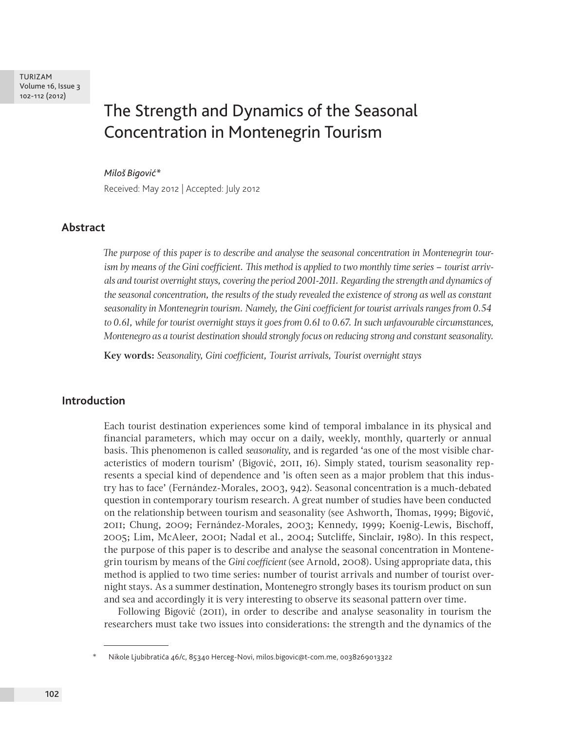# The Strength and Dynamics of the Seasonal Concentration in Montenegrin Tourism

#### *Miloš Bigović\**

Received: May 2012 | Accepted: July 2012

# **Abstract**

*The purpose of this paper is to describe and analyse the seasonal concentration in Montenegrin tourism by means of the Gini coefficient. This method is applied to two monthly time series – tourist arrivals and tourist overnight stays, covering the period 2001-2011. Regarding the strength and dynamics of the seasonal concentration, the results of the study revealed the existence of strong as well as constant seasonality in Montenegrin tourism. Namely, the Gini coefficient for tourist arrivals ranges from 0.54 to 0.61, while for tourist overnight stays it goes from 0.61 to 0.67. In such unfavourable circumstances, Montenegro as a tourist destination should strongly focus on reducing strong and constant seasonality.*

**Key words:** *Seasonality, Gini coefficient, Tourist arrivals, Tourist overnight stays*

# **Introduction**

Each tourist destination experiences some kind of temporal imbalance in its physical and financial parameters, which may occur on a daily, weekly, monthly, quarterly or annual basis. This phenomenon is called *seasonality*, and is regarded 'as one of the most visible characteristics of modern tourism' (Bigović, 2011, 16). Simply stated, tourism seasonality represents a special kind of dependence and 'is often seen as a major problem that this industry has to face' (Fernández-Morales, 2003, 942). Seasonal concentration is a much-debated question in contemporary tourism research. A great number of studies have been conducted on the relationship between tourism and seasonality (see Ashworth, Thomas, 1999; Bigović, 2011; Chung, 2009; Fernández-Morales, 2003; Kennedy, 1999; Koenig-Lewis, Bischoff, 2005; Lim, McAleer, 2001; Nadal et al., 2004; Sutcliffe, Sinclair, 1980). In this respect, the purpose of this paper is to describe and analyse the seasonal concentration in Montenegrin tourism by means of the *Gini coefficient* (see Arnold, 2008). Using appropriate data, this method is applied to two time series: number of tourist arrivals and number of tourist overnight stays. As a summer destination, Montenegro strongly bases its tourism product on sun and sea and accordingly it is very interesting to observe its seasonal pattern over time.

Following Bigović (2011), in order to describe and analyse seasonality in tourism the researchers must take two issues into considerations: the strength and the dynamics of the

<sup>\*</sup> Nikole Ljubibratića 46/c, 85340 Herceg-Novi, milos.bigovic@t-com.me, 0038269013322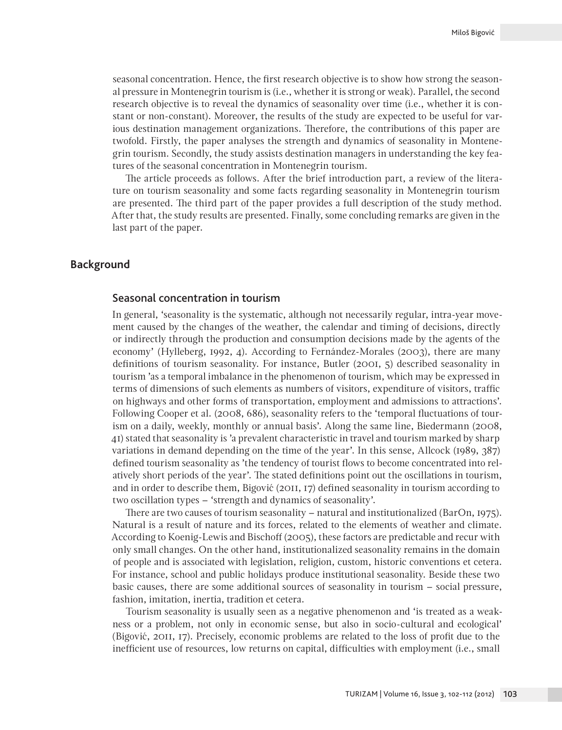seasonal concentration. Hence, the first research objective is to show how strong the seasonal pressure in Montenegrin tourism is (i.e., whether it is strong or weak). Parallel, the second research objective is to reveal the dynamics of seasonality over time (i.e., whether it is constant or non-constant). Moreover, the results of the study are expected to be useful for various destination management organizations. Therefore, the contributions of this paper are twofold. Firstly, the paper analyses the strength and dynamics of seasonality in Montenegrin tourism. Secondly, the study assists destination managers in understanding the key features of the seasonal concentration in Montenegrin tourism.

The article proceeds as follows. After the brief introduction part, a review of the literature on tourism seasonality and some facts regarding seasonality in Montenegrin tourism are presented. The third part of the paper provides a full description of the study method. After that, the study results are presented. Finally, some concluding remarks are given in the last part of the paper.

# **Background**

## Seasonal concentration in tourism

In general, 'seasonality is the systematic, although not necessarily regular, intra-year movement caused by the changes of the weather, the calendar and timing of decisions, directly or indirectly through the production and consumption decisions made by the agents of the economy' (Hylleberg, 1992, 4). According to Fernández-Morales (2003), there are many definitions of tourism seasonality. For instance, Butler (2001, 5) described seasonality in tourism 'as a temporal imbalance in the phenomenon of tourism, which may be expressed in terms of dimensions of such elements as numbers of visitors, expenditure of visitors, traffic on highways and other forms of transportation, employment and admissions to attractions'. Following Cooper et al. (2008, 686), seasonality refers to the 'temporal fluctuations of tourism on a daily, weekly, monthly or annual basis'. Along the same line, Biedermann (2008, 41) stated that seasonality is 'a prevalent characteristic in travel and tourism marked by sharp variations in demand depending on the time of the year'. In this sense, Allcock (1989, 387) defined tourism seasonality as 'the tendency of tourist flows to become concentrated into relatively short periods of the year'. The stated definitions point out the oscillations in tourism, and in order to describe them, Bigović (2011, 17) defined seasonality in tourism according to two oscillation types – 'strength and dynamics of seasonality'.

There are two causes of tourism seasonality – natural and institutionalized (BarOn, 1975). Natural is a result of nature and its forces, related to the elements of weather and climate. According to Koenig-Lewis and Bischoff (2005), these factors are predictable and recur with only small changes. On the other hand, institutionalized seasonality remains in the domain of people and is associated with legislation, religion, custom, historic conventions et cetera. For instance, school and public holidays produce institutional seasonality. Beside these two basic causes, there are some additional sources of seasonality in tourism – social pressure, fashion, imitation, inertia, tradition et cetera.

Tourism seasonality is usually seen as a negative phenomenon and 'is treated as a weakness or a problem, not only in economic sense, but also in socio-cultural and ecological' (Bigović, 2011, 17). Precisely, economic problems are related to the loss of profit due to the inefficient use of resources, low returns on capital, difficulties with employment (i.e., small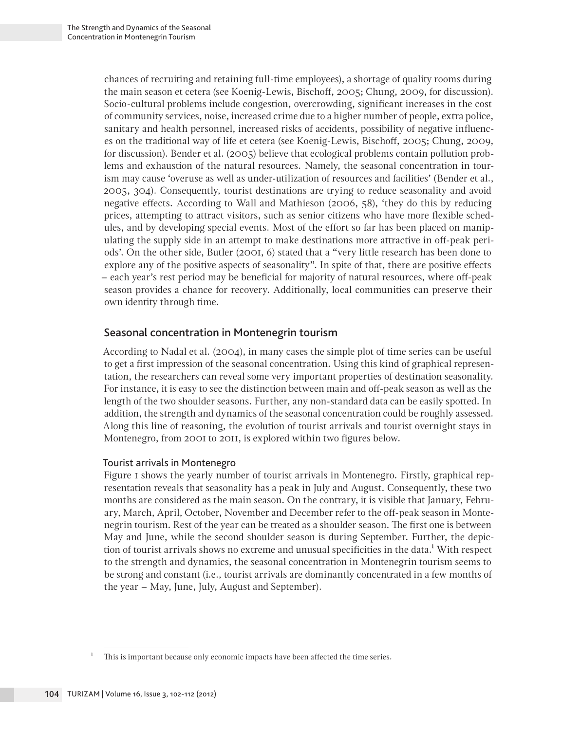chances of recruiting and retaining full-time employees), a shortage of quality rooms during the main season et cetera (see Koenig-Lewis, Bischoff, 2005; Chung, 2009, for discussion). Socio-cultural problems include congestion, overcrowding, significant increases in the cost of community services, noise, increased crime due to a higher number of people, extra police, sanitary and health personnel, increased risks of accidents, possibility of negative influences on the traditional way of life et cetera (see Koenig-Lewis, Bischoff, 2005; Chung, 2009, for discussion). Bender et al. (2005) believe that ecological problems contain pollution problems and exhaustion of the natural resources. Namely, the seasonal concentration in tourism may cause 'overuse as well as under-utilization of resources and facilities' (Bender et al., 2005, 304). Consequently, tourist destinations are trying to reduce seasonality and avoid negative effects. According to Wall and Mathieson (2006, 58), 'they do this by reducing prices, attempting to attract visitors, such as senior citizens who have more flexible schedules, and by developing special events. Most of the effort so far has been placed on manipulating the supply side in an attempt to make destinations more attractive in off-peak periods'. On the other side, Butler (2001, 6) stated that a "very little research has been done to explore any of the positive aspects of seasonality". In spite of that, there are positive effects – each year's rest period may be beneficial for majority of natural resources, where off-peak season provides a chance for recovery. Additionally, local communities can preserve their own identity through time.

# Seasonal concentration in Montenegrin tourism

According to Nadal et al. (2004), in many cases the simple plot of time series can be useful to get a first impression of the seasonal concentration. Using this kind of graphical representation, the researchers can reveal some very important properties of destination seasonality. For instance, it is easy to see the distinction between main and off-peak season as well as the length of the two shoulder seasons. Further, any non-standard data can be easily spotted. In addition, the strength and dynamics of the seasonal concentration could be roughly assessed. Along this line of reasoning, the evolution of tourist arrivals and tourist overnight stays in Montenegro, from 2001 to 2011, is explored within two figures below.

# Tourist arrivals in Montenegro

Figure 1 shows the yearly number of tourist arrivals in Montenegro. Firstly, graphical representation reveals that seasonality has a peak in July and August. Consequently, these two months are considered as the main season. On the contrary, it is visible that January, February, March, April, October, November and December refer to the off-peak season in Montenegrin tourism. Rest of the year can be treated as a shoulder season. The first one is between May and June, while the second shoulder season is during September. Further, the depiction of tourist arrivals shows no extreme and unusual specificities in the data.<sup>1</sup> With respect to the strength and dynamics, the seasonal concentration in Montenegrin tourism seems to be strong and constant (i.e., tourist arrivals are dominantly concentrated in a few months of the year – May, June, July, August and September).

This is important because only economic impacts have been affected the time series.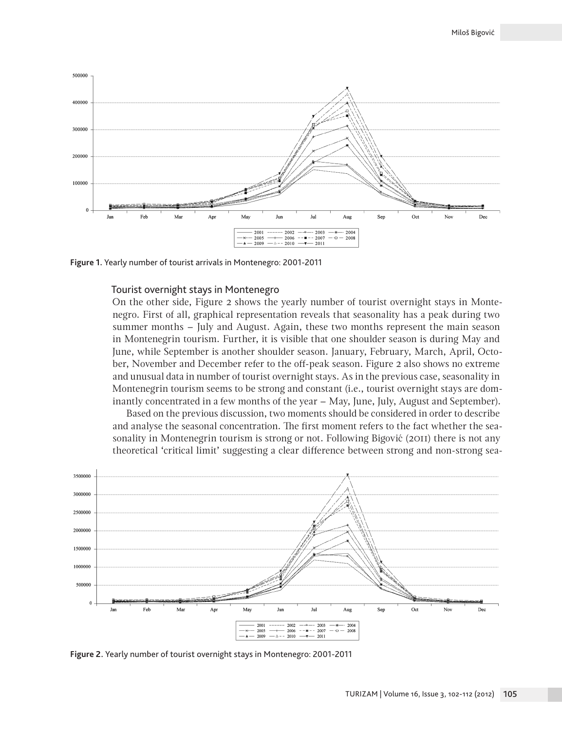

**Figure 1.** Yearly number of tourist arrivals in Montenegro: 2001-2011

#### Tourist overnight stays in Montenegro

On the other side, Figure 2 shows the yearly number of tourist overnight stays in Montenegro. First of all, graphical representation reveals that seasonality has a peak during two summer months – July and August. Again, these two months represent the main season in Montenegrin tourism. Further, it is visible that one shoulder season is during May and June, while September is another shoulder season. January, February, March, April, October, November and December refer to the off-peak season. Figure 2 also shows no extreme and unusual data in number of tourist overnight stays. As in the previous case, seasonality in Montenegrin tourism seems to be strong and constant (i.e., tourist overnight stays are dominantly concentrated in a few months of the year – May, June, July, August and September).

Based on the previous discussion, two moments should be considered in order to describe and analyse the seasonal concentration. The first moment refers to the fact whether the seasonality in Montenegrin tourism is strong or not. Following Bigović (2011) there is not any theoretical 'critical limit' suggesting a clear difference between strong and non-strong sea-



**Figure 2.** Yearly number of tourist overnight stays in Montenegro: 2001-2011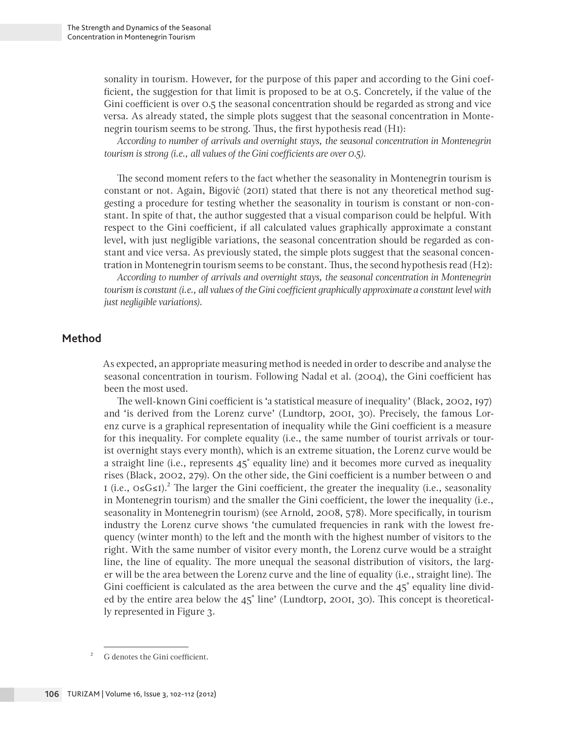sonality in tourism. However, for the purpose of this paper and according to the Gini coefficient, the suggestion for that limit is proposed to be at 0.5. Concretely, if the value of the Gini coefficient is over 0.5 the seasonal concentration should be regarded as strong and vice versa. As already stated, the simple plots suggest that the seasonal concentration in Montenegrin tourism seems to be strong. Thus, the first hypothesis read (H1):

*According to number of arrivals and overnight stays, the seasonal concentration in Montenegrin tourism is strong (i.e., all values of the Gini coefficients are over 0.5).*

The second moment refers to the fact whether the seasonality in Montenegrin tourism is constant or not. Again, Bigović (2011) stated that there is not any theoretical method suggesting a procedure for testing whether the seasonality in tourism is constant or non-constant. In spite of that, the author suggested that a visual comparison could be helpful. With respect to the Gini coefficient, if all calculated values graphically approximate a constant level, with just negligible variations, the seasonal concentration should be regarded as constant and vice versa. As previously stated, the simple plots suggest that the seasonal concentration in Montenegrin tourism seems to be constant. Thus, the second hypothesis read (H2):

*According to number of arrivals and overnight stays, the seasonal concentration in Montenegrin tourism is constant (i.e., all values of the Gini coefficient graphically approximate a constant level with just negligible variations).*

# **Method**

As expected, an appropriate measuring method is needed in order to describe and analyse the seasonal concentration in tourism. Following Nadal et al. (2004), the Gini coefficient has been the most used.

The well-known Gini coefficient is 'a statistical measure of inequality' (Black, 2002, 197) and 'is derived from the Lorenz curve' (Lundtorp, 2001, 30). Precisely, the famous Lorenz curve is a graphical representation of inequality while the Gini coefficient is a measure for this inequality. For complete equality (i.e., the same number of tourist arrivals or tourist overnight stays every month), which is an extreme situation, the Lorenz curve would be a straight line (i.e., represents 45˚ equality line) and it becomes more curved as inequality rises (Black, 2002, 279). On the other side, the Gini coefficient is a number between 0 and 1 (i.e.,  $\circ \le G \le 1$ ).<sup>2</sup> The larger the Gini coefficient, the greater the inequality (i.e., seasonality in Montenegrin tourism) and the smaller the Gini coefficient, the lower the inequality (i.e., seasonality in Montenegrin tourism) (see Arnold, 2008, 578). More specifically, in tourism industry the Lorenz curve shows 'the cumulated frequencies in rank with the lowest frequency (winter month) to the left and the month with the highest number of visitors to the right. With the same number of visitor every month, the Lorenz curve would be a straight line, the line of equality. The more unequal the seasonal distribution of visitors, the larger will be the area between the Lorenz curve and the line of equality (i.e., straight line). The Gini coefficient is calculated as the area between the curve and the 45° equality line divided by the entire area below the 45˚ line' (Lundtorp, 2001, 30). This concept is theoretically represented in Figure 3.

<sup>2</sup> G denotes the Gini coefficient.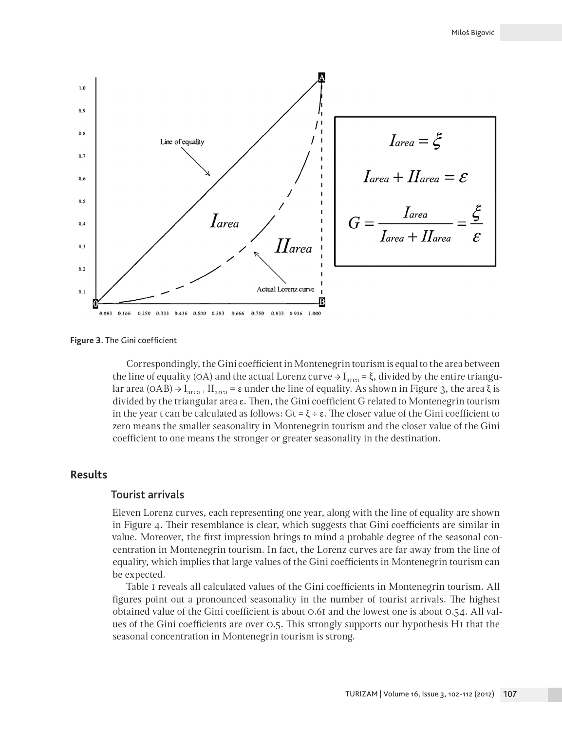

**Figure 3.** The Gini coefficient

Correspondingly, the Gini coefficient in Montenegrin tourism is equal to the area between the line of equality (OA) and the actual Lorenz curve  $\rightarrow$  I<sub>area</sub> = ξ, divided by the entire triangular area (OAB)  $\rightarrow$  I<sub>area</sub> + II<sub>area</sub> = ε under the line of equality. As shown in Figure 3, the area ξ is divided by the triangular area ε. Then, the Gini coefficient G related to Montenegrin tourism in the year t can be calculated as follows:  $Gt = \xi \div \varepsilon$ . The closer value of the Gini coefficient to zero means the smaller seasonality in Montenegrin tourism and the closer value of the Gini coefficient to one means the stronger or greater seasonality in the destination.

## **Results**

### Tourist arrivals

Eleven Lorenz curves, each representing one year, along with the line of equality are shown in Figure 4. Their resemblance is clear, which suggests that Gini coefficients are similar in value. Moreover, the first impression brings to mind a probable degree of the seasonal concentration in Montenegrin tourism. In fact, the Lorenz curves are far away from the line of equality, which implies that large values of the Gini coefficients in Montenegrin tourism can be expected.

Table 1 reveals all calculated values of the Gini coefficients in Montenegrin tourism. All figures point out a pronounced seasonality in the number of tourist arrivals. The highest obtained value of the Gini coefficient is about 0.61 and the lowest one is about 0.54. All values of the Gini coefficients are over 0.5. This strongly supports our hypothesis H1 that the seasonal concentration in Montenegrin tourism is strong.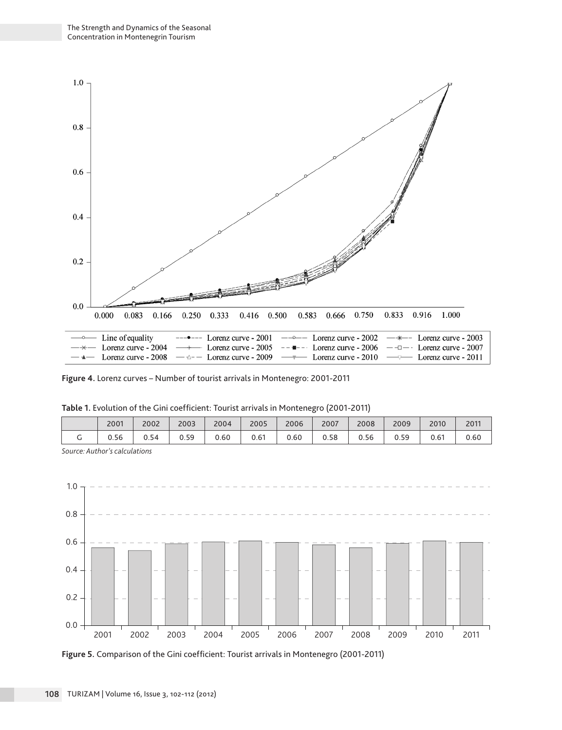

**Figure 4.** Lorenz curves – Number of tourist arrivals in Montenegro: 2001-2011

|   |      | _____ |      |      |      |      |      |      |      |      |      |
|---|------|-------|------|------|------|------|------|------|------|------|------|
|   | 2001 | 2002  | 2003 | 2004 | 2005 | 2006 | 2007 | 2008 | 2009 | 2010 | 2011 |
| ◡ | 0.56 | 0.54  | 0.59 | 0.60 | 0.61 | 0.60 | 0.58 | 0.56 | 0.59 | 0.61 | 0.60 |
|   |      |       |      |      |      |      |      |      |      |      |      |

**Table 1.** Evolution of the Gini coefficient: Tourist arrivals in Montenegro (2001-2011)

*Source: Author's calculations*



**Figure 5.** Comparison of the Gini coefficient: Tourist arrivals in Montenegro (2001-2011)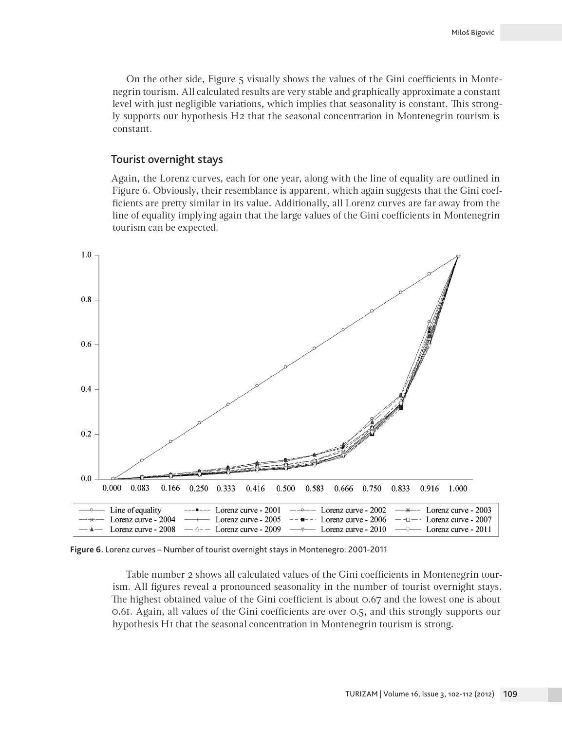On the other side, Figure 5 visually shows the values of the Gini coefficients in Montenegrin tourism. All calculated results are very stable and graphically approximate a constant level with just negligible variations, which implies that seasonality is constant. This strongly supports our hypothesis H2 that the seasonal concentration in Montenegrin tourism is constant.

# Tourist overnight stays

Again, the Lorenz curves, each for one year, along with the line of equality are outlined in Figure 6. Obviously, their resemblance is apparent, which again suggests that the Gini coefficients are pretty similar in its value. Additionally, all Lorenz curves are far away from the line of equality implying again that the large values of the Gini coefficients in Montenegrin tourism can be expected.



**Figure 6.** Lorenz curves – Number of tourist overnight stays in Montenegro: 2001-2011

Table number 2 shows all calculated values of the Gini coefficients in Montenegrin tourism. All figures reveal a pronounced seasonality in the number of tourist overnight stays. The highest obtained value of the Gini coefficient is about 0.67 and the lowest one is about 0.61. Again, all values of the Gini coefficients are over 0.5, and this strongly supports our hypothesis H1 that the seasonal concentration in Montenegrin tourism is strong.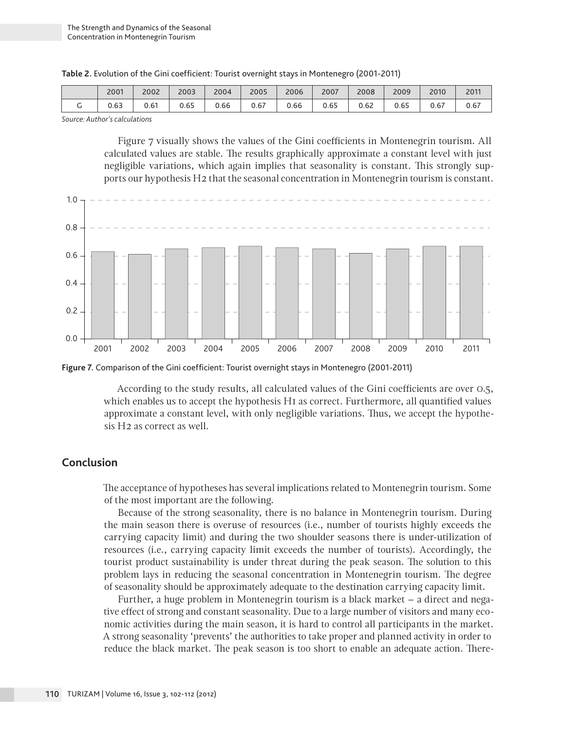| Table 2. Evolution of the Gini coefficient: Tourist overnight stays in Montenegro (2001-2011) |  |  |
|-----------------------------------------------------------------------------------------------|--|--|
|-----------------------------------------------------------------------------------------------|--|--|

| 2001 | 2002 | 2003 | 2004 | 2005 | 2006 | 2007 | 2008 | 2009 | 2010 | 2011<br><b>LUI</b> |
|------|------|------|------|------|------|------|------|------|------|--------------------|
| 0.63 | 0.61 | 0.65 | 0.66 | 0.67 | 0.66 | 0.65 | 0.62 | 0.65 | 0.67 | 0.67               |

*Source: Author's calculations*

Figure 7 visually shows the values of the Gini coefficients in Montenegrin tourism. All calculated values are stable. The results graphically approximate a constant level with just negligible variations, which again implies that seasonality is constant. This strongly supports our hypothesis H2 that the seasonal concentration in Montenegrin tourism is constant.



**Figure 7.** Comparison of the Gini coefficient: Tourist overnight stays in Montenegro (2001-2011)

According to the study results, all calculated values of the Gini coefficients are over 0.5, which enables us to accept the hypothesis HI as correct. Furthermore, all quantified values approximate a constant level, with only negligible variations. Thus, we accept the hypothesis H2 as correct as well.

# **Conclusion**

The acceptance of hypotheses has several implications related to Montenegrin tourism. Some of the most important are the following.

Because of the strong seasonality, there is no balance in Montenegrin tourism. During the main season there is overuse of resources (i.e., number of tourists highly exceeds the carrying capacity limit) and during the two shoulder seasons there is under-utilization of resources (i.e., carrying capacity limit exceeds the number of tourists). Accordingly, the tourist product sustainability is under threat during the peak season. The solution to this problem lays in reducing the seasonal concentration in Montenegrin tourism. The degree of seasonality should be approximately adequate to the destination carrying capacity limit.

Further, a huge problem in Montenegrin tourism is a black market – a direct and negative effect of strong and constant seasonality. Due to a large number of visitors and many economic activities during the main season, it is hard to control all participants in the market. A strong seasonality 'prevents' the authorities to take proper and planned activity in order to reduce the black market. The peak season is too short to enable an adequate action. There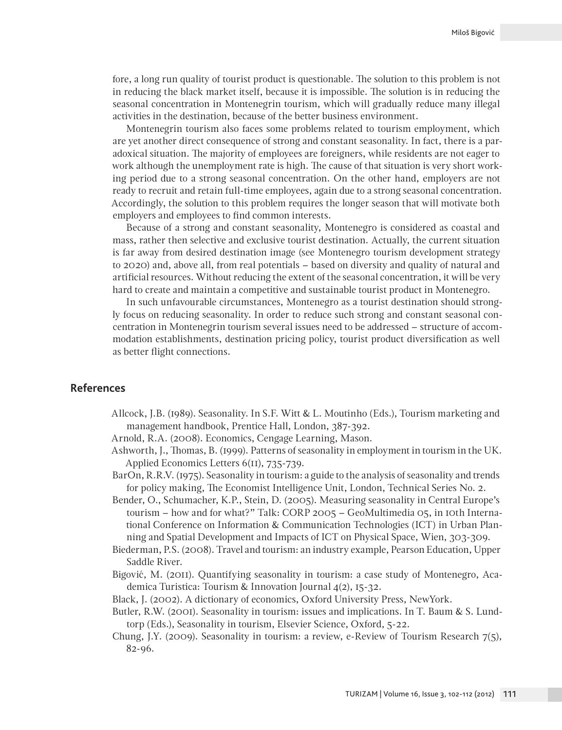fore, a long run quality of tourist product is questionable. The solution to this problem is not in reducing the black market itself, because it is impossible. The solution is in reducing the seasonal concentration in Montenegrin tourism, which will gradually reduce many illegal activities in the destination, because of the better business environment.

Montenegrin tourism also faces some problems related to tourism employment, which are yet another direct consequence of strong and constant seasonality. In fact, there is a paradoxical situation. The majority of employees are foreigners, while residents are not eager to work although the unemployment rate is high. The cause of that situation is very short working period due to a strong seasonal concentration. On the other hand, employers are not ready to recruit and retain full-time employees, again due to a strong seasonal concentration. Accordingly, the solution to this problem requires the longer season that will motivate both employers and employees to find common interests.

Because of a strong and constant seasonality, Montenegro is considered as coastal and mass, rather then selective and exclusive tourist destination. Actually, the current situation is far away from desired destination image (see Montenegro tourism development strategy to 2020) and, above all, from real potentials – based on diversity and quality of natural and artificial resources. Without reducing the extent of the seasonal concentration, it will be very hard to create and maintain a competitive and sustainable tourist product in Montenegro.

In such unfavourable circumstances, Montenegro as a tourist destination should strongly focus on reducing seasonality. In order to reduce such strong and constant seasonal concentration in Montenegrin tourism several issues need to be addressed – structure of accommodation establishments, destination pricing policy, tourist product diversification as well as better flight connections.

# **References**

- Allcock, J.B. (1989). Seasonality. In S.F. Witt & L. Moutinho (Eds.), Tourism marketing and management handbook, Prentice Hall, London, 387-392.
- Arnold, R.A. (2008). Economics, Cengage Learning, Mason.
- Ashworth, J., Thomas, B. (1999). Patterns of seasonality in employment in tourism in the UK. Applied Economics Letters 6(11), 735-739.
- BarOn, R.R.V. (1975). Seasonality in tourism: a guide to the analysis of seasonality and trends for policy making, The Economist Intelligence Unit, London, Technical Series No. 2.
- Bender, O., Schumacher, K.P., Stein, D. (2005). Measuring seasonality in Central Europe's tourism – how and for what?" Talk: CORP 2005 – GeoMultimedia 05, in 10th International Conference on Information & Communication Technologies (ICT) in Urban Planning and Spatial Development and Impacts of ICT on Physical Space, Wien, 303-309.
- Biederman, P.S. (2008). Travel and tourism: an industry example, Pearson Education, Upper Saddle River.
- Bigović, M. (2011). Quantifying seasonality in tourism: a case study of Montenegro, Academica Turistica: Tourism & Innovation Journal 4(2), 15-32.
- Black, J. (2002). A dictionary of economics, Oxford University Press, NewYork.
- Butler, R.W. (2001). Seasonality in tourism: issues and implications. In T. Baum & S. Lundtorp (Eds.), Seasonality in tourism, Elsevier Science, Oxford, 5-22.
- Chung, J.Y. (2009). Seasonality in tourism: a review, e-Review of Tourism Research 7(5), 82-96.